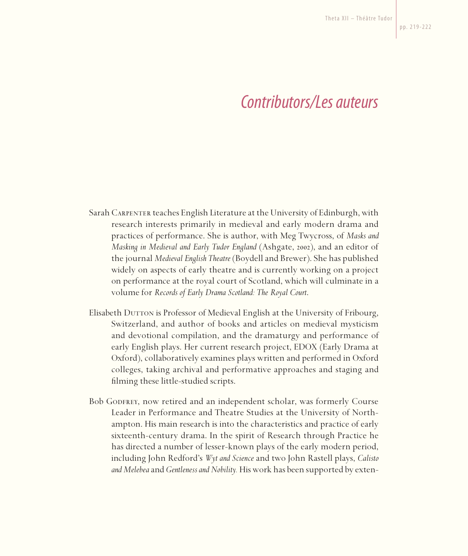## *Contributors/Les auteurs*

- Sarah Carpenter teaches English Literature at the University of Edinburgh, with research interests primarily in medieval and early modern drama and practices of performance. She is author, with Meg Twycross, of *Masks and Masking in Medieval and Early Tudor England* (Ashgate, 2002), and an editor of the journal *Medieval English Theatre* (Boydell and Brewer). She has published widely on aspects of early theatre and is currently working on a project on performance at the royal court of Scotland, which will culminate in a volume for *Records of Early Drama Scotland: The Royal Court*.
- Elisabeth Durron is Professor of Medieval English at the University of Fribourg, Switzerland, and author of books and articles on medieval mysticism and devotional compilation, and the dramaturgy and performance of early English plays. Her current research project, EDOX (Early Drama at Oxford), collaboratively examines plays written and performed in Oxford colleges, taking archival and performative approaches and staging and filming these little-studied scripts.
- Bob Godfrey, now retired and an independent scholar, was formerly Course Leader in Performance and Theatre Studies at the University of Northampton. His main research is into the characteristics and practice of early sixteenth-century drama. In the spirit of Research through Practice he has directed a number of lesser-known plays of the early modern period, including John Redford's *Wyt and Science* and two John Rastell plays, *Calisto and Melebea* and *Gentleness and Nobility.* His work has been supported by exten-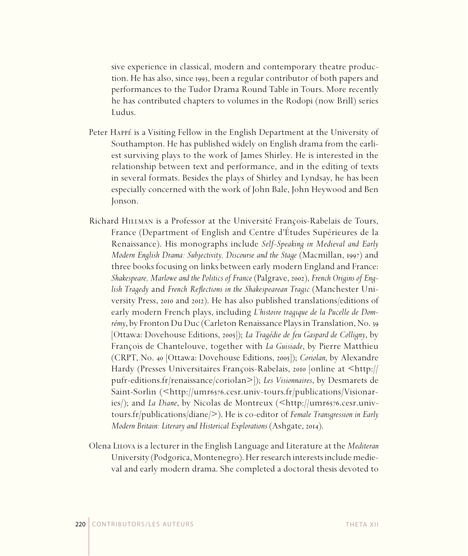sive experience in classical, modern and contemporary theatre production. He has also, since 1993, been a regular contributor of both papers and performances to the Tudor Drama Round Table in Tours. More recently he has contributed chapters to volumes in the Rodopi (now Brill) series Ludus.

- Peter Happé is a Visiting Fellow in the English Department at the University of Southampton. He has published widely on English drama from the earliest surviving plays to the work of James Shirley. He is interested in the relationship between text and performance, and in the editing of texts in several formats. Besides the plays of Shirley and Lyndsay, he has been especially concerned with the work of John Bale, John Heywood and Ben Jonson.
- Richard Hillman is a Professor at the Université François-Rabelais de Tours, France (Department of English and Centre d'Études Supérieures de la Renaissance). His monographs include *Self-Speaking in Medieval and Early Modern English Drama: Subjectivity, Discourse and the Stage* (Macmillan, 1997) and three books focusing on links between early modern England and France: *Shakespeare, Marlowe and the Politics of France* (Palgrave, 2002), *French Origins of English Tragedy* and *French Reflections in the Shakespearean Tragic* (Manchester University Press, 2010 and 2012). He has also published translations/editions of early modern French plays, including *L'histoire tragique de la Pucelle de Domrémy*, by Fronton Du Duc (Carleton Renaissance Plays in Translation, No. 39 [Ottawa: Dovehouse Editions, 2005]); *La Tragédie de feu Gaspard de Colligny*, by François de Chantelouve, together with *La Guisiade*, by Pierre Matthieu (CRPT, No. 40 [Ottawa: Dovehouse Editions, 2005]); *Coriolan*, by Alexandre Hardy (Presses Universitaires François-Rabelais, 2010 [online at <http:// pufr-editions.fr/renaissance/coriolan>]); *Les Visionnaires*, by Desmarets de Saint-Sorlin (<http://umr6576.cesr.univ-tours.fr/publications/Visionaries/); and *La Diane*, by Nicolas de Montreux (<http://umr6576.cesr.univtours.fr/publications/diane/>). He is co-editor of *Female Transgression in Early Modern Britain: Literary and Historical Explorations* (Ashgate, 2014).
- Olena Lilova is a lecturer in the English Language and Literature at the *Mediteran* University (Podgorica, Montenegro). Her research interests include medieval and early modern drama. She completed a doctoral thesis devoted to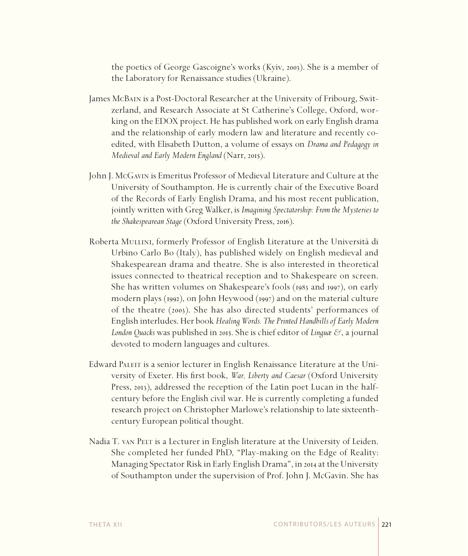the poetics of George Gascoigne's works (Kyiv, 2003). She is a member of the Laboratory for Renaissance studies (Ukraine).

- James McBain is a Post-Doctoral Researcher at the University of Fribourg, Switzerland, and Research Associate at St Catherine's College, Oxford, working on the EDOX project. He has published work on early English drama and the relationship of early modern law and literature and recently coedited, with Elisabeth Dutton, a volume of essays on *Drama and Pedagogy in Medieval and Early Modern England* (Narr, 2015).
- John J. McGavin is Emeritus Professor of Medieval Literature and Culture at the University of Southampton. He is currently chair of the Executive Board of the Records of Early English Drama, and his most recent publication, jointly written with Greg Walker, is *Imagining Spectatorship: From the Mysteries to the Shakespearean Stage* (Oxford University Press, 2016).
- Roberta Mullini, formerly Professor of English Literature at the Università di Urbino Carlo Bo (Italy), has published widely on English medieval and Shakespearean drama and theatre. She is also interested in theoretical issues connected to theatrical reception and to Shakespeare on screen. She has written volumes on Shakespeare's fools (1983 and 1997), on early modern plays (1992), on John Heywood (1997) and on the material culture of the theatre (2003). She has also directed students' performances of English interludes. Her book *Healing Words. The Printed Handbills of Early Modern London Quacks* was published in 2015. She is chief editor of *Linguæ &*, a journal devoted to modern languages and cultures.
- Edward Paleit is a senior lecturer in English Renaissance Literature at the University of Exeter. His first book, *War, Liberty and Caesar* (Oxford University Press, 2013), addressed the reception of the Latin poet Lucan in the halfcentury before the English civil war. He is currently completing a funded research project on Christopher Marlowe's relationship to late sixteenthcentury European political thought.
- Nadia T. van Pelt is a Lecturer in English literature at the University of Leiden. She completed her funded PhD, "Play-making on the Edge of Reality: Managing Spectator Risk in Early English Drama", in 2014 at the University of Southampton under the supervision of Prof. John J. McGavin. She has